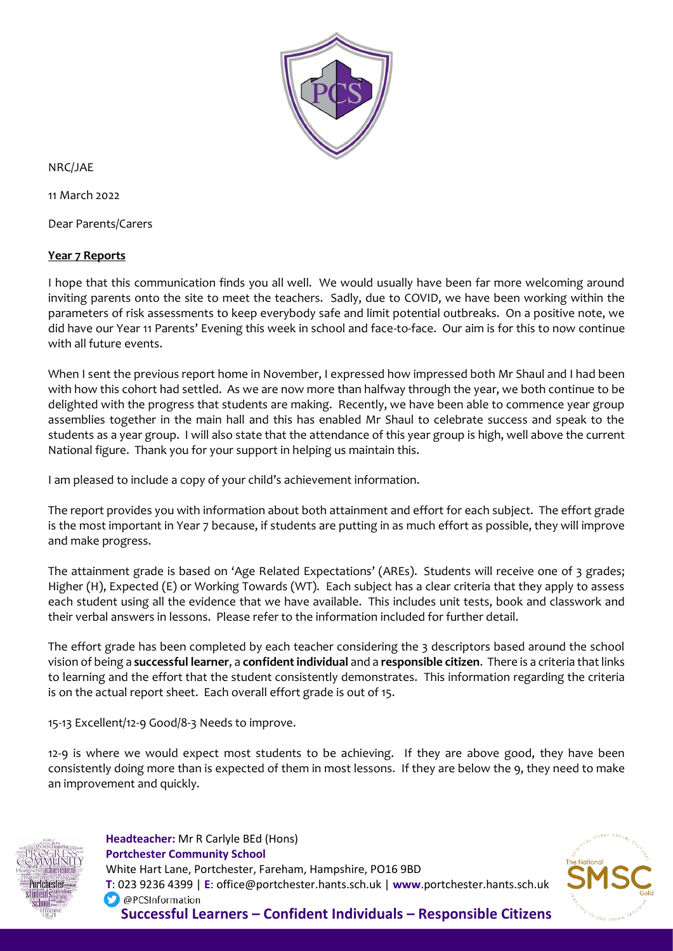

NRC/JAE

11 March 2022

Dear Parents/Carers

## **Year 7 Reports**

I hope that this communication finds you all well. We would usually have been far more welcoming around inviting parents onto the site to meet the teachers. Sadly, due to COVID, we have been working within the parameters of risk assessments to keep everybody safe and limit potential outbreaks. On a positive note, we did have our Year 11 Parents' Evening this week in school and face-to-face. Our aim is for this to now continue with all future events.

When I sent the previous report home in November, I expressed how impressed both Mr Shaul and I had been with how this cohort had settled. As we are now more than halfway through the year, we both continue to be delighted with the progress that students are making. Recently, we have been able to commence year group assemblies together in the main hall and this has enabled Mr Shaul to celebrate success and speak to the students as a year group. I will also state that the attendance of this year group is high, well above the current National figure. Thank you for your support in helping us maintain this.

I am pleased to include a copy of your child's achievement information.

The report provides you with information about both attainment and effort for each subject. The effort grade is the most important in Year 7 because, if students are putting in as much effort as possible, they will improve and make progress.

The attainment grade is based on 'Age Related Expectations' (AREs). Students will receive one of 3 grades; Higher (H), Expected (E) or Working Towards (WT). Each subject has a clear criteria that they apply to assess each student using all the evidence that we have available. This includes unit tests, book and classwork and their verbal answers in lessons. Please refer to the information included for further detail.

The effort grade has been completed by each teacher considering the 3 descriptors based around the school vision of being a **successful learner**, a **confident individual** and a **responsible citizen**. There is a criteria that links to learning and the effort that the student consistently demonstrates. This information regarding the criteria is on the actual report sheet. Each overall effort grade is out of 15.

15-13 Excellent/12-9 Good/8-3 Needs to improve.

12-9 is where we would expect most students to be achieving. If they are above good, they have been consistently doing more than is expected of them in most lessons. If they are below the 9, they need to make an improvement and quickly.



 **Headteacher:** Mr R Carlyle BEd (Hons)  **Portchester Community School** White Hart Lane, Portchester, Fareham, Hampshire, PO16 9BD  **T**: 023 9236 4399 | **E**: office@portchester.hants.sch.uk | **www**.portchester.hants.sch.uk O @PCSInformation **Successful Learners – Confident Individuals – Responsible Citizens**